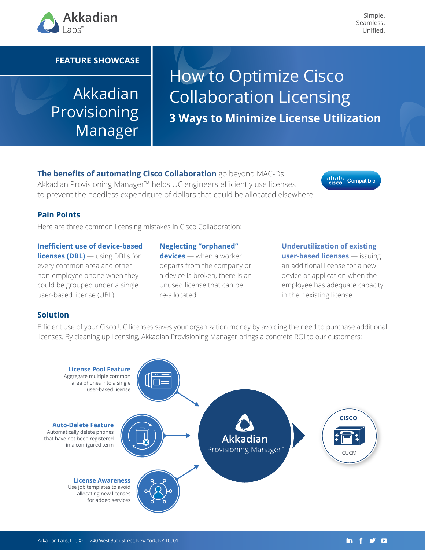

Simple. Seamless. Unified.

### **FEATURE SHOWCASE**

## Akkadian Provisioning Manager

# How to Optimize Cisco Collaboration Licensing **3 Ways to Minimize License Utilization**

**The benefits of automating Cisco Collaboration** go beyond MAC-Ds. Akkadian Provisioning Manager™ helps UC engineers efficiently use licenses to prevent the needless expenditure of dollars that could be allocated elsewhere.



#### **Pain Points**

Here are three common licensing mistakes in Cisco Collaboration:

**Inefficient use of device-based licenses (DBL)** — using DBLs for every common area and other non-employee phone when they could be grouped under a single user-based license (UBL)

**Neglecting "orphaned" devices** — when a worker departs from the company or a device is broken, there is an unused license that can be re-allocated **ISE (UBL)** The allocated **Collaboration** in their existing license

## **Underutilization of existing user-based licenses** — issuing an additional license for a new device or application when the employee has adequate capacity

#### **Solution**

Efficient use of your Cisco UC licenses saves your organization money by avoiding the need to purchase additional **money by avoiding the need to purchase additional licenses**licenses. By cleaning up licensing, Akkadian Provisioning Manager brings a concrete ROI to our customers: